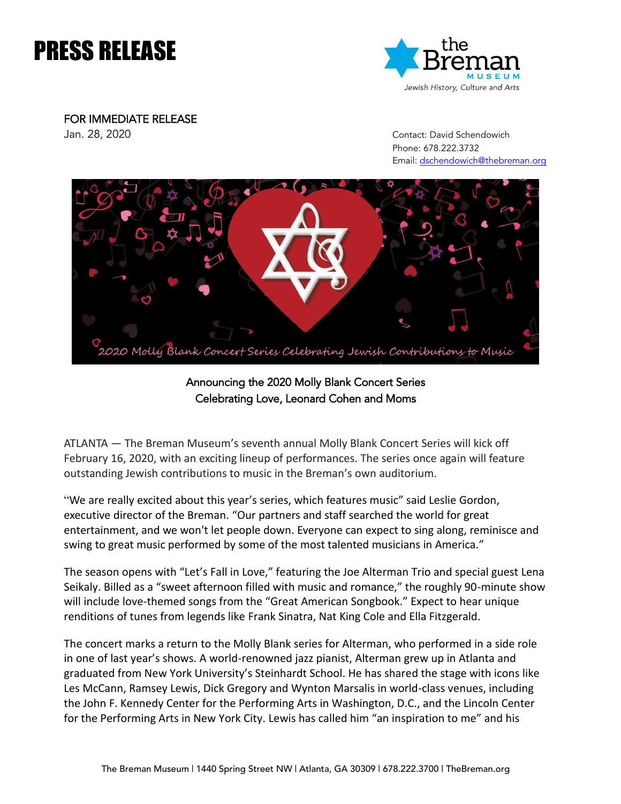# PRESS RELEASE



FOR IMMEDIATE RELEASE

Jan. 28, 2020 Contact: David Schendowich Phone: 678.222.3732 Email: [dschendowich@thebreman.org](mailto:dschendowich@thebreman.org)



Announcing the 2020 Molly Blank Concert Series Celebrating Love, Leonard Cohen and Moms

ATLANTA — The Breman Museum's seventh annual Molly Blank Concert Series will kick off February 16, 2020, with an exciting lineup of performances. The series once again will feature outstanding Jewish contributions to music in the Breman's own auditorium.

"We are really excited about this year's series, which features music" said Leslie Gordon, executive director of the Breman. "Our partners and staff searched the world for great entertainment, and we won't let people down. Everyone can expect to sing along, reminisce and swing to great music performed by some of the most talented musicians in America."

The season opens with "Let's Fall in Love," featuring the Joe Alterman Trio and special guest Lena Seikaly. Billed as a "sweet afternoon filled with music and romance," the roughly 90-minute show will include love-themed songs from the "Great American Songbook." Expect to hear unique renditions of tunes from legends like Frank Sinatra, Nat King Cole and Ella Fitzgerald.

The concert marks a return to the Molly Blank series for Alterman, who performed in a side role in one of last year's shows. A world-renowned jazz pianist, Alterman grew up in Atlanta and graduated from New York University's Steinhardt School. He has shared the stage with icons like Les McCann, Ramsey Lewis, Dick Gregory and Wynton Marsalis in world-class venues, including the John F. Kennedy Center for the Performing Arts in Washington, D.C., and the Lincoln Center for the Performing Arts in New York City. Lewis has called him "an inspiration to me" and his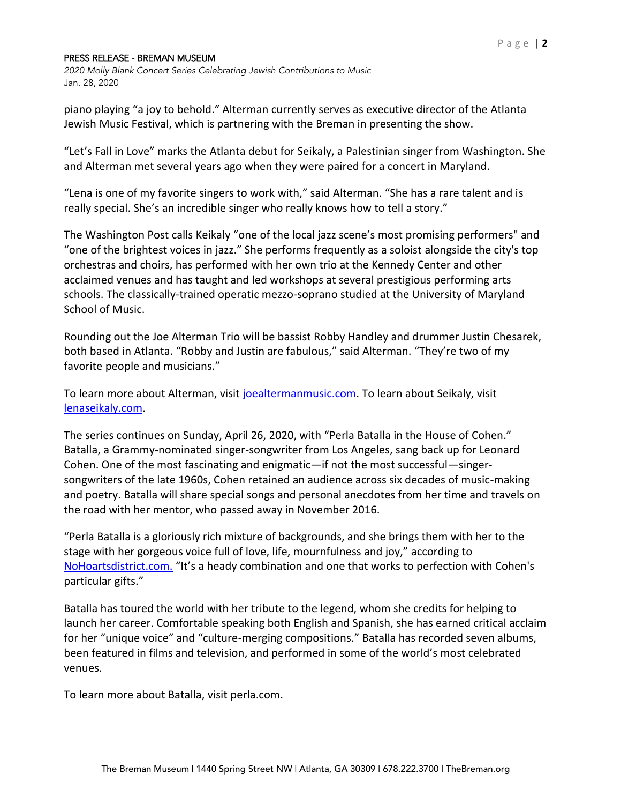*2020 Molly Blank Concert Series Celebrating Jewish Contributions to Music* Jan. 28, 2020

piano playing "a joy to behold." Alterman currently serves as executive director of the Atlanta Jewish Music Festival, which is partnering with the Breman in presenting the show.

"Let's Fall in Love" marks the Atlanta debut for Seikaly, a Palestinian singer from Washington. She and Alterman met several years ago when they were paired for a concert in Maryland.

"Lena is one of my favorite singers to work with," said Alterman. "She has a rare talent and is really special. She's an incredible singer who really knows how to tell a story."

The Washington Post calls Keikaly "one of the local jazz scene's most promising performers" and "one of the brightest voices in jazz." She performs frequently as a soloist alongside the city's top orchestras and choirs, has performed with her own trio at the Kennedy Center and other acclaimed venues and has taught and led workshops at several prestigious performing arts schools. The classically-trained operatic mezzo-soprano studied at the University of Maryland School of Music.

Rounding out the Joe Alterman Trio will be bassist Robby Handley and drummer Justin Chesarek, both based in Atlanta. "Robby and Justin are fabulous," said Alterman. "They're two of my favorite people and musicians."

To learn more about Alterman, visit [joealtermanmusic.com.](file://///breman-DC03/Marketing2/Events/2020/2020%20Molly%20Blank/joealtermanmusic.com/) To learn about Seikaly, visit [lenaseikaly.com.](http://www.lenaseikaly.com/)

The series continues on Sunday, April 26, 2020, with "Perla Batalla in the House of Cohen." Batalla, a Grammy-nominated singer-songwriter from Los Angeles, sang back up for Leonard Cohen. One of the most fascinating and enigmatic—if not the most successful—singersongwriters of the late 1960s, Cohen retained an audience across six decades of music-making and poetry. Batalla will share special songs and personal anecdotes from her time and travels on the road with her mentor, who passed away in November 2016.

"Perla Batalla is a gloriously rich mixture of backgrounds, and she brings them with her to the stage with her gorgeous voice full of love, life, mournfulness and joy," according to [NoHoartsdistrict.com.](https://nohoartsdistrict.com/) "It's a heady combination and one that works to perfection with Cohen's particular gifts."

Batalla has toured the world with her tribute to the legend, whom she credits for helping to launch her career. Comfortable speaking both English and Spanish, she has earned critical acclaim for her "unique voice" and "culture-merging compositions." Batalla has recorded seven albums, been featured in films and television, and performed in some of the world's most celebrated venues.

To learn more about Batalla, visit perla.com.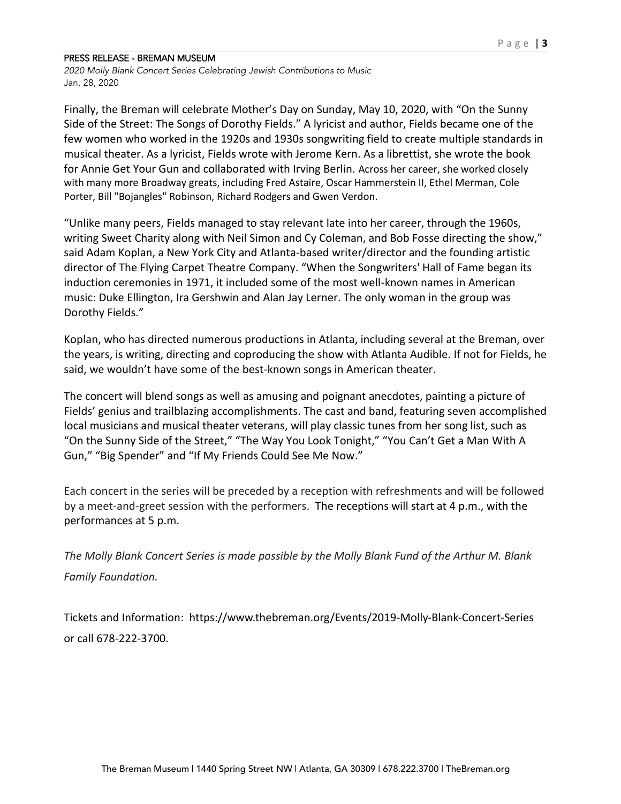*2020 Molly Blank Concert Series Celebrating Jewish Contributions to Music* Jan. 28, 2020

Finally, the Breman will celebrate Mother's Day on Sunday, May 10, 2020, with "On the Sunny Side of the Street: The Songs of Dorothy Fields." A lyricist and author, Fields became one of the few women who worked in the 1920s and 1930s songwriting field to create multiple standards in musical theater. As a lyricist, Fields wrote with Jerome Kern. As a librettist, she wrote the book for Annie Get Your Gun and collaborated with Irving Berlin. Across her career, she worked closely with many more Broadway greats, including Fred Astaire, Oscar Hammerstein II, Ethel Merman, Cole Porter, Bill "Bojangles" Robinson, Richard Rodgers and Gwen Verdon.

"Unlike many peers, Fields managed to stay relevant late into her career, through the 1960s, writing Sweet Charity along with Neil Simon and Cy Coleman, and Bob Fosse directing the show," said Adam Koplan, a New York City and Atlanta-based writer/director and the founding artistic director of The Flying Carpet Theatre Company. "When the Songwriters' Hall of Fame began its induction ceremonies in 1971, it included some of the most well-known names in American music: Duke Ellington, Ira Gershwin and Alan Jay Lerner. The only woman in the group was Dorothy Fields."

Koplan, who has directed numerous productions in Atlanta, including several at the Breman, over the years, is writing, directing and coproducing the show with Atlanta Audible. If not for Fields, he said, we wouldn't have some of the best-known songs in American theater.

The concert will blend songs as well as amusing and poignant anecdotes, painting a picture of Fields' genius and trailblazing accomplishments. The cast and band, featuring seven accomplished local musicians and musical theater veterans, will play classic tunes from her song list, such as "On the Sunny Side of the Street," "The Way You Look Tonight," "You Can't Get a Man With A Gun," "Big Spender" and "If My Friends Could See Me Now."

Each concert in the series will be preceded by a reception with refreshments and will be followed by a meet-and-greet session with the performers. The receptions will start at 4 p.m., with the performances at 5 p.m.

*The Molly Blank Concert Series is made possible by the Molly Blank Fund of the Arthur M. Blank Family Foundation.*

Tickets and Information: https://www.thebreman.org/Events/2019-Molly-Blank-Concert-Series or call 678-222-3700.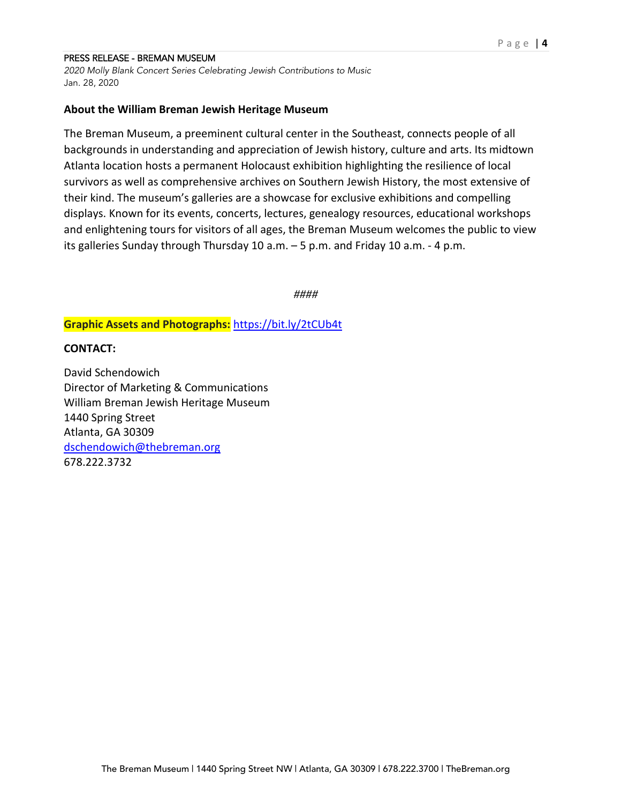*2020 Molly Blank Concert Series Celebrating Jewish Contributions to Music* Jan. 28, 2020

### **About the William Breman Jewish Heritage Museum**

The Breman Museum, a preeminent cultural center in the Southeast, connects people of all backgrounds in understanding and appreciation of Jewish history, culture and arts. Its midtown Atlanta location hosts a permanent Holocaust exhibition highlighting the resilience of local survivors as well as comprehensive archives on Southern Jewish History, the most extensive of their kind. The museum's galleries are a showcase for exclusive exhibitions and compelling displays. Known for its events, concerts, lectures, genealogy resources, educational workshops and enlightening tours for visitors of all ages, the Breman Museum welcomes the public to view its galleries Sunday through Thursday 10 a.m. – 5 p.m. and Friday 10 a.m. - 4 p.m.

*####*

**Graphic Assets and Photographs:** <https://bit.ly/2tCUb4t>

## **CONTACT:**

David Schendowich Director of Marketing & Communications William Breman Jewish Heritage Museum 1440 Spring Street Atlanta, GA 30309 [dschendowich@thebreman.org](mailto:dschendowich@thebreman.org) 678.222.3732